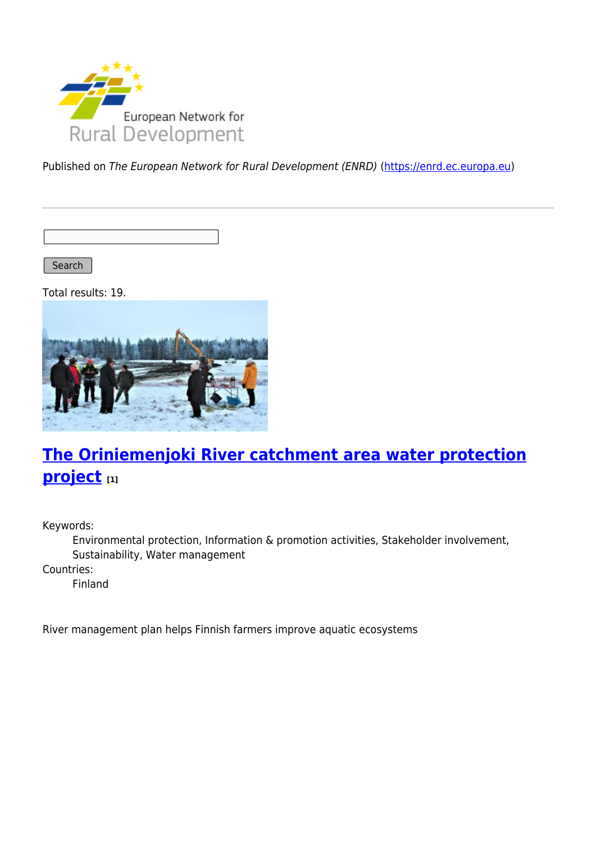

Published on The European Network for Rural Development (ENRD) [\(https://enrd.ec.europa.eu](https://enrd.ec.europa.eu))

Search |

Total results: 19.



# **[The Oriniemenjoki River catchment area water protection](https://enrd.ec.europa.eu/projects-practice/oriniemenjoki-river-catchment-area-water-protection-project_en) [project](https://enrd.ec.europa.eu/projects-practice/oriniemenjoki-river-catchment-area-water-protection-project_en) [1]**

Keywords:

Environmental protection, Information & promotion activities, Stakeholder involvement, Sustainability, Water management

Countries:

Finland

River management plan helps Finnish farmers improve aquatic ecosystems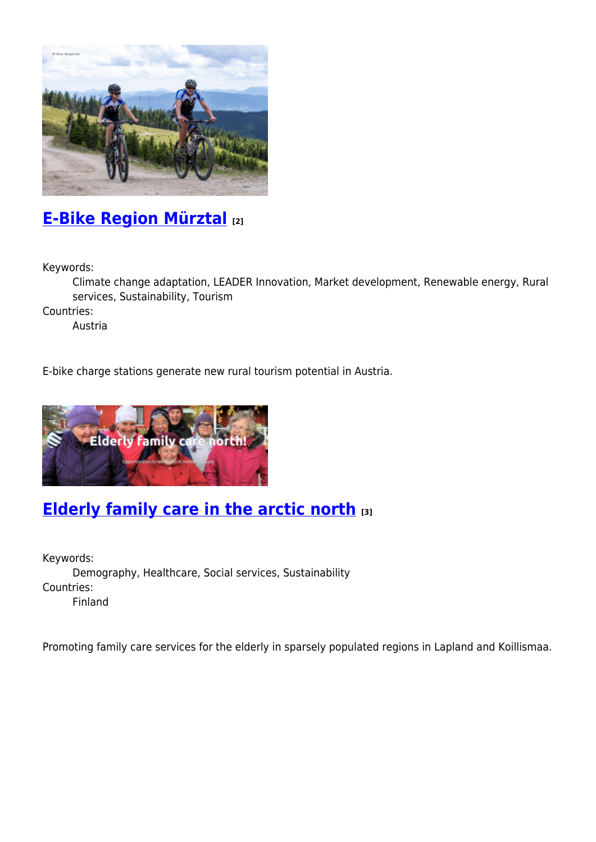

## **[E-Bike Region Mürztal](https://enrd.ec.europa.eu/projects-practice/e-bike-region-murztal_en) [2]**

Keywords:

Climate change adaptation, LEADER Innovation, Market development, Renewable energy, Rural services, Sustainability, Tourism

Countries:

Austria

E-bike charge stations generate new rural tourism potential in Austria.



## **[Elderly family care in the arctic north](https://enrd.ec.europa.eu/projects-practice/elderly-family-care-arctic-north_en) [3]**

Keywords: Demography, Healthcare, Social services, Sustainability Countries: Finland

Promoting family care services for the elderly in sparsely populated regions in Lapland and Koillismaa.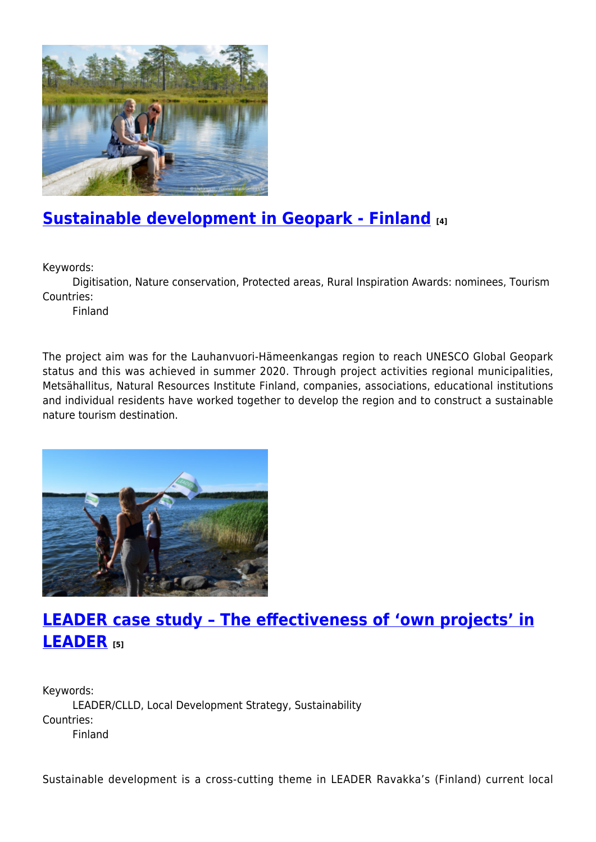

# **[Sustainable development in Geopark - Finland](https://enrd.ec.europa.eu/projects-practice/sustainable-development-geopark-finland_en) [4]**

Keywords:

Digitisation, Nature conservation, Protected areas, Rural Inspiration Awards: nominees, Tourism Countries:

Finland

The project aim was for the Lauhanvuori-Hämeenkangas region to reach UNESCO Global Geopark status and this was achieved in summer 2020. Through project activities regional municipalities, Metsähallitus, Natural Resources Institute Finland, companies, associations, educational institutions and individual residents have worked together to develop the region and to construct a sustainable nature tourism destination.



#### **[LEADER case study – The effectiveness of 'own projects' in](https://enrd.ec.europa.eu/projects-practice/leader-case-study-effectiveness-own-projects-leader_en) [LEADER](https://enrd.ec.europa.eu/projects-practice/leader-case-study-effectiveness-own-projects-leader_en) [5]**

Keywords: LEADER/CLLD, Local Development Strategy, Sustainability Countries: Finland

Sustainable development is a cross-cutting theme in LEADER Ravakka's (Finland) current local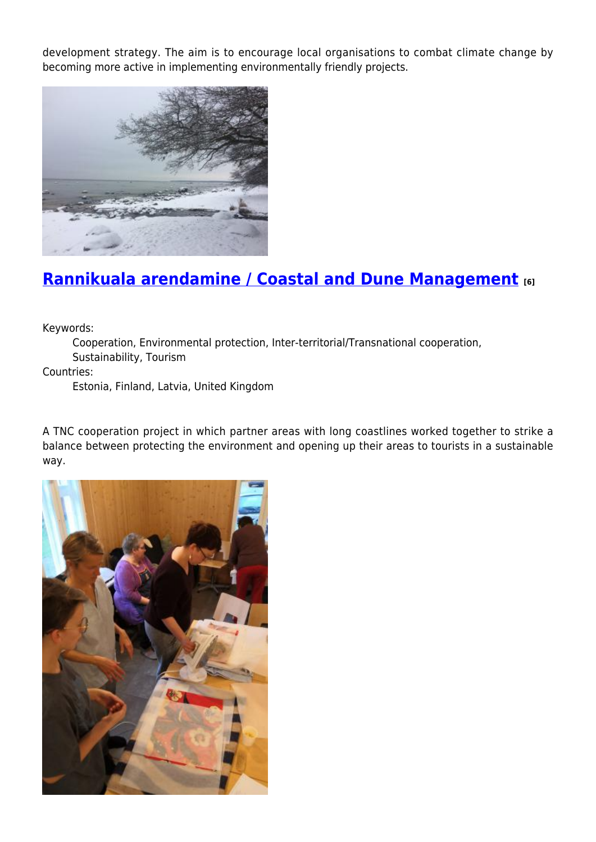development strategy. The aim is to encourage local organisations to combat climate change by becoming more active in implementing environmentally friendly projects.



# **[Rannikuala arendamine / Coastal and Dune Management](https://enrd.ec.europa.eu/projects-practice/rannikuala-arendamine-coastal-and-dune-management_en) [6]**

Keywords:

Cooperation, Environmental protection, Inter-territorial/Transnational cooperation, Sustainability, Tourism

Countries:

Estonia, Finland, Latvia, United Kingdom

A TNC cooperation project in which partner areas with long coastlines worked together to strike a balance between protecting the environment and opening up their areas to tourists in a sustainable way.

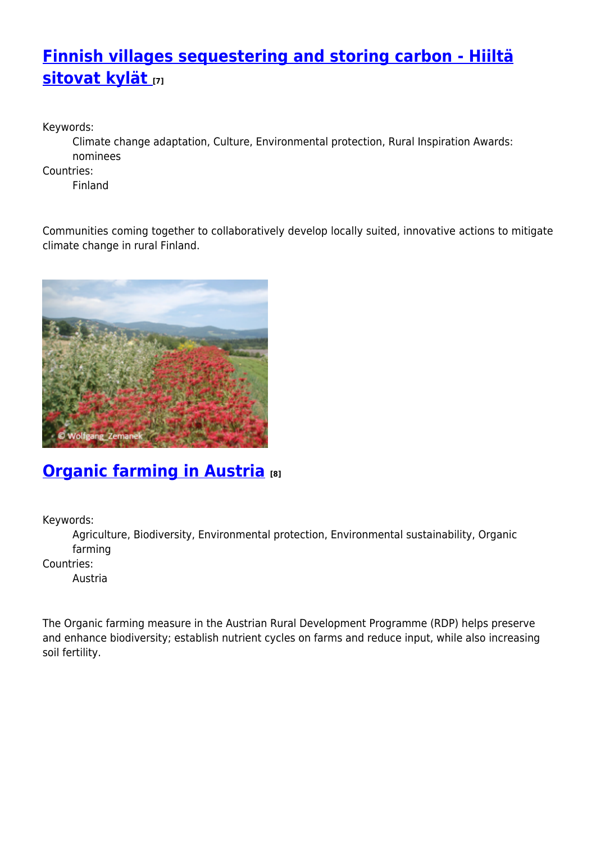# **[Finnish villages sequestering and storing carbon - Hiiltä](https://enrd.ec.europa.eu/projects-practice/finnish-villages-sequestering-and-storing-carbon-hiilta-sitovat-kylat_en) [sitovat kylät](https://enrd.ec.europa.eu/projects-practice/finnish-villages-sequestering-and-storing-carbon-hiilta-sitovat-kylat_en) [7]**

Keywords:

Climate change adaptation, Culture, Environmental protection, Rural Inspiration Awards: nominees

Countries:

Finland

Communities coming together to collaboratively develop locally suited, innovative actions to mitigate climate change in rural Finland.



# **[Organic farming in Austria](https://enrd.ec.europa.eu/projects-practice/organic-farming-austria_en) [8]**

Keywords:

Agriculture, Biodiversity, Environmental protection, Environmental sustainability, Organic farming

Countries:

Austria

The Organic farming measure in the Austrian Rural Development Programme (RDP) helps preserve and enhance biodiversity; establish nutrient cycles on farms and reduce input, while also increasing soil fertility.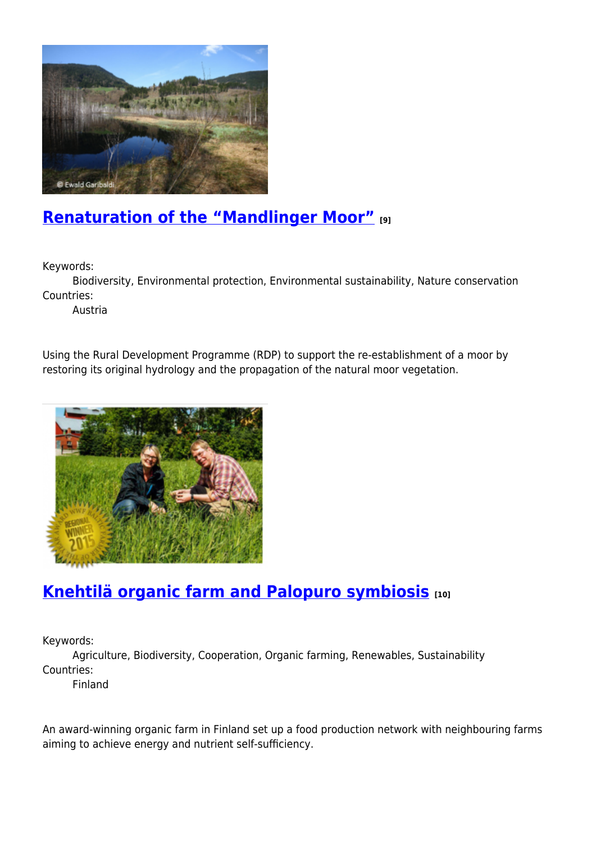

## **[Renaturation of the "Mandlinger Moor"](https://enrd.ec.europa.eu/projects-practice/renaturation-mandlinger-moor_en) [9]**

Keywords:

Biodiversity, Environmental protection, Environmental sustainability, Nature conservation Countries:

Austria

Using the Rural Development Programme (RDP) to support the re-establishment of a moor by restoring its original hydrology and the propagation of the natural moor vegetation.



## **[Knehtilä organic farm and Palopuro symbiosis](https://enrd.ec.europa.eu/projects-practice/knehtila-organic-farm-and-palopuro-symbiosis_en) [10]**

Keywords:

Agriculture, Biodiversity, Cooperation, Organic farming, Renewables, Sustainability Countries:

Finland

An award-winning organic farm in Finland set up a food production network with neighbouring farms aiming to achieve energy and nutrient self-sufficiency.